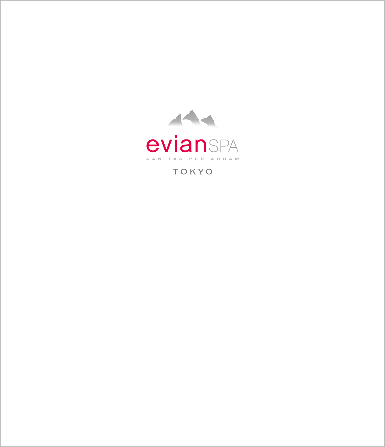

TOKYO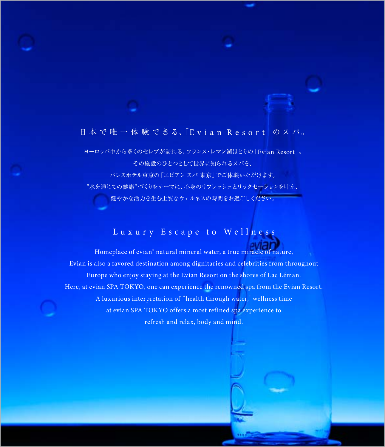### 日 本 で 唯 一 体 験 で き る、「Evian Resort 」の ス パ 。

ヨーロッパ中から多くのセレブが訪れる、フランス・レマン湖ほとりの「Evian Resort」。 その施設のひとつとして世界に知られるスパを、 パレスホテル東京の「エビアンスパ 東京」でご体験いただけます。 "水を通じての健康"づくりをテーマに、心身のリフレッシュとリラクセーションを叶え、 健やかな活力を生む上質なウェルネスの時間をお過ごしください。

# Luxury Escape to Wellness

Homeplace of evian® natural mineral water, a true miracle of nature, Evian is also a favored destination among dignitaries and celebrities from throughout Europe who enjoy staying at the Evian Resort on the shores of Lac Léman. Here, at evian SPA TOKYO, one can experience the renowned spa from the Evian Resort. A luxurious interpretation of"health through water,"wellness time at evian SPA TOKYO offers a most refined spa experience to refresh and relax, body and mind.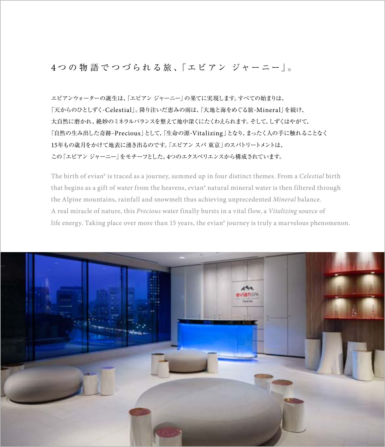### 4つの物 語 で つ づ ら れ る 旅 、 「 エ ビ ア ン ジ ャ ー ニ ー | 。

エビアンウォーターの誕生は、「エビアン ジャーニー」の果てに実現します。すべての始まりは、 「天からのひとしずく-Celestial」。降り注いだ恵みの雨は、「大地と海をめぐる旅-Mineral」を続け、 大自然に磨かれ、絶妙のミネラルバランスを整えて地中深くにたくわえられます。そして、しずくはやがて、 「自然の生み出した奇跡-Precious」として、「生命の源-Vitalizing」となり、まったく人の手に触れることなく 15年もの歳月をかけて地表に湧き出るのです。「エビアン スパ 東京」のスパトリートメントは、 この「エビアン ジャーニー」をモチーフとした、4つのエクスペリエンスから構成されています。

The birth of evian® is traced as a journey, summed up in four distinct themes. From a *Celestial* birth that begins as a gift of water from the heavens, evian® natural mineral water is then filtered through the Alpine mountains, rainfall and snowmelt thus achieving unprecedented *Mineral* balance. A real miracle of nature, this *Precious* water finally bursts in a vital flow, a *Vitalizing* source of life energy. Taking place over more than 15 years, the evian® journey is truly a marvelous phenomenon.

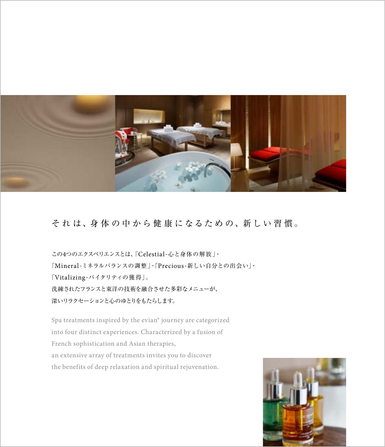

### そ れ は、身 体 の 中 か ら 健 康 に なる た め の、新 し い 習 慣 。

この4つのエクスペリエンスとは、「Celestial-心と身体の解放」・ 「Mineral-ミネラルバランスの調整」・「Precious-新しい自分との出会い」・ 「Vitalizing-バイタリティの獲得」。 洗練されたフランスと東洋の技術を融合させた多彩なメニューが、 深いリラクセーションと心のゆとりをもたらします。

Spa treatments inspired by the evian® journey are categorized into four distinct experiences. Characterized by a fusion of French sophistication and Asian therapies, an extensive array of treatments invites you to discover the benefits of deep relaxation and spiritual rejuvenation.

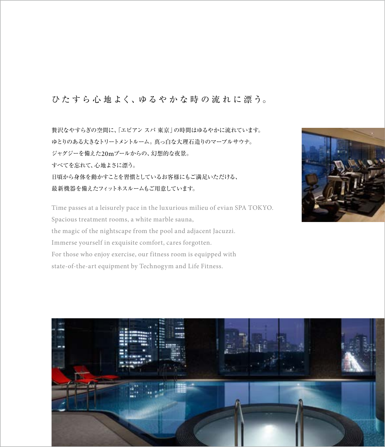### ひたすら心地よく、ゆるやかな時の流れに漂う。

贅沢なやすらぎの空間に、「エビアン スパ 東京」の時間はゆるやかに流れています。 ゆとりのある大きなトリートメントルーム。真っ白な大理石造りのマーブルサウナ。 ジャグジーを備えた20mプールからの、幻想的な夜景。 すべてを忘れて、心地よさに漂う。 日頃から身体を動かすことを習慣としているお客様にもご満足いただける、 最新機器を備えたフィットネスルームもご用意しています。

Time passes at a leisurely pace in the luxurious milieu of evian SPA TOKYO. Spacious treatment rooms, a white marble sauna, the magic of the nightscape from the pool and adjacent Jacuzzi. Immerse yourself in exquisite comfort, cares forgotten. For those who enjoy exercise, our fitness room is equipped with state-of-the-art equipment by Technogym and Life Fitness.



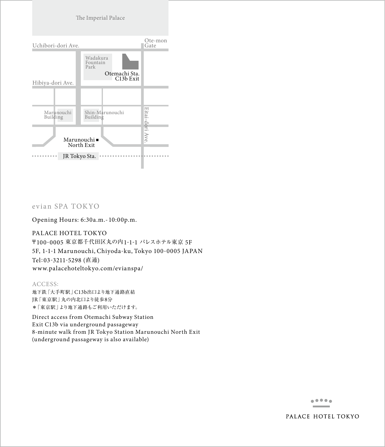

#### evian SPA TOKYO

Opening Hours: 6:30a.m.- 10:00p.m.

PALACE HOTEL TOKYO 〒100-0005 東京都千代田区丸の内1-1-1 パレスホテル東京 5F 5F, 1-1-1 Marunouchi, Chiyoda-ku, Tokyo 100-0005 JAPAN Tel: 03-3211-5298 (直通) www.palacehoteltokyo.com/evianspa/

ACCESS: 地下鉄「大手町駅」C13b出口より地下通路直結 JR「東京駅」丸の内北口より徒歩8分 \*「東京駅」より地下通路もご利用いただけます。

Direct access from Otemachi Subway Station Exit C13b via underground passageway 8-minute walk from JR Tokyo Station Marunouchi North Exit (underground passageway is also available)

> $\begin{smallmatrix}&&6&0&0&0&\\0&&&&6&0&\\0&&&&&0&\\&&&&&0&\\&&&&&&&0\end{smallmatrix}$

PALACE HOTEL TOKYO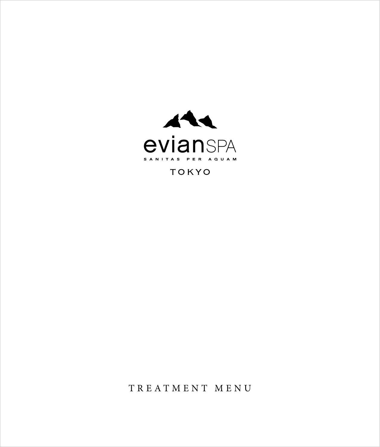

### **TOKYO**

TREATMENT MENU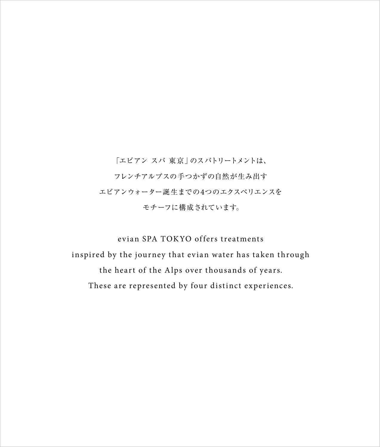「エビアン スパ 東京」のスパトリートメントは、 フレンチアルプスの手つかずの自然が生み出す エビアンウォーター誕生までの4つのエクスペリエンスを モチーフに構成されています。

evian SPA TOKYO offers treatments inspired by the journey that evian water has taken through the heart of the Alps over thousands of years. These are represented by four distinct experiences.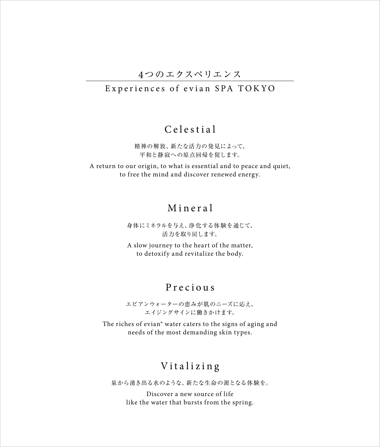### 4つのエクスペリエンス

### Experiences of evian SPA TOKYO

### Celestial

精神の解放、新たな活力の発見によって、 平和と静寂への原点回帰を促します。

A return to our origin, to what is essential and to peace and quiet, to free the mind and discover renewed energy.

## Mineral

身体にミネラルを与え、浄化する体験を通じて、 活力を取り戻します。

A slow journey to the heart of the matter, to detoxify and revitalize the body.

### Precious

エビアンウォーターの恵みが肌のニーズに応え、 エイジングサインに働きかけます。

The riches of evian® water caters to the signs of aging and needs of the most demanding skin types.

### Vitalizing

泉から湧き出る水のような、新たな生命の源となる体験を。

Discover a new source of life like the water that bursts from the spring.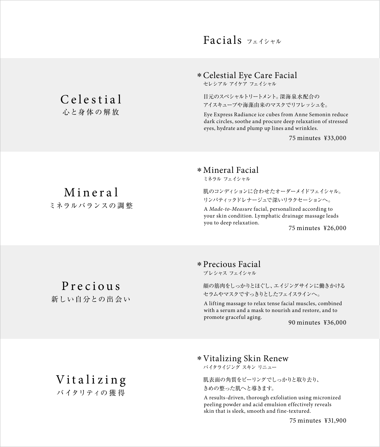## Facials フェイシャル

Celestial Eye Care Facial \*

セレシアル アイケア フェイシャル

目元のスペシャルトリートメント。深海泉水配合の アイスキューブや海藻由来のマスクでリフレッシュを。

Eye Express Radiance ice cubes from Anne Semonin reduce dark circles, soothe and procure deep relaxation of stressed eyes, hydrate and plump up lines and wrinkles.

75 minutes ¥33,000

Mineral Facial \*

ミネラル フェイシャル

肌のコンディションに合わせたオーダーメイドフェイシャル。 リンパティックドレナージュで深いリラクセーションへ。

A *Made-to-Measure* facial, personalized according to your skin condition. Lymphatic drainage massage leads you to deep relaxation.

75 minutes ¥26,000

Celestial 心と身体の解放

Mineral ミネラルバランスの調 整

Precious

新しい自分との出会い

### Precious Facial \*

プレシャス フェイシャル

顔の筋肉をしっかりとほぐし、エイジングサインに働きかける セラムやマスクですっきりとしたフェイスラインへ。

A lifting massage to relax tense facial muscles, combined with a serum and a mask to nourish and restore, and to promote graceful aging.

90 minutes ¥36,000

### Vitalizing Skin Renew \*

バイタライジング スキン リニュー

肌表面の角質をピーリングでしっかりと取り去り、 きめの整った肌へと導きます。

A results-driven, thorough exfoliation using micronized peeling powder and acid emulsion effectively reveals skin that is sleek, smooth and fine-textured.

75 minutes ¥31,900

Vitalizing バイタリティの 獲 得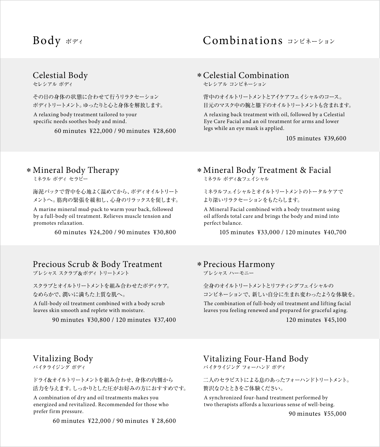## Body ボディ

## Combinations コンビネーション

#### Celestial Body

セレシアル ボディ

その日の身体の状態に合わせて行うリラクセーション ボディトリートメント。ゆったりと心と身体を解放します。

A relaxing body treatment tailored to your specific needs soothes body and mind.

60 minutes ¥22,000 / 90 minutes ¥28,600

#### Celestial Combination \*

セレシアル コンビネーション

背中のオイルトリートメントとアイケアフェイシャルのコース。 目元のマスク中の腕と膝下のオイルトリートメントも含まれます。

A relaxing back treatment with oil, followed by a Celestial Eye Care Facial and an oil treatment for arms and lower legs while an eye mask is applied.

105 minutes ¥39,600

#### Mineral Body Therapy \*

ミネラル ボディ セラピー

A marine mineral mud-pack to warm your back, followed by a full-body oil treatment. Relieves muscle tension and promotes relaxation. 海泥パックで背中を心地よく温めてから、ボディオイルトリート メントへ。筋肉の緊張を緩和し、心身のリラックスを促します。

60 minutes ¥24,200 / 90 minutes ¥30,800

### Precious Scrub & Body Treatment

プレシャス スクラブ&ボディトリートメント

スクラブとオイルトリートメントを組み合わせたボディケア。 なめらかで、潤いに満ちた上質な肌へ。

A full-body oil treatment combined with a body scrub leaves skin smooth and replete with moisture.

90 minutes ¥30,800 / 120 minutes ¥37,400

### Mineral Body Treatment & Facial \*

ミネラル ボディ&フェイシャル

ミネラルフェイシャルとオイルトリートメントのトータルケアで より深いリラクセーションをもたらします。

A Mineral Facial combined with a body treatment using oil affords total care and brings the body and mind into perfect balance.

105 minutes ¥33,000 / 120 minutes ¥40,700

#### Precious Harmony \*

プレシャス ハーモニー

全身のオイルトリートメントとリフティングフェイシャルの コンビネーションで、新しい自分に生まれ変わったような体験を。

The combination of full-body oil treatment and lifting facial leaves you feeling renewed and prepared for graceful aging.

120 minutes ¥45,100

### Vitalizing Body

バイタライジング ボディ

ドライ&オイルトリートメントを組み合わせ、身体の内側から 活力を与えます。しっかりとした圧がお好みの方におすすめです。

A combination of dry and oil treatments makes you energized and revitalized. Recommended for those who prefer firm pressure.

60 minutes ¥22,000 / 90 minutes ¥ 28,600

Vitalizing Four-Hand Body

バイタライジング フォーハンド ボディ

二人のセラピストによる息のあったフォーハンドトリートメント。 贅沢なひとときをご体験ください。

A synchronized four-hand treatment performed by two therapists affords a luxurious sense of well-being.

90 minutes ¥55,000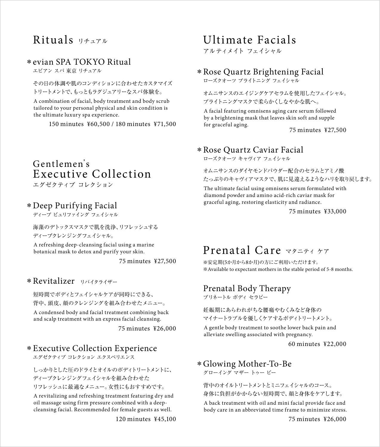## Rituals リチュアル

### evian SPA TOKYO Ritual \*

エビアン スパ 東京 リチュアル

#### その日の体調や肌のコンディションに合わせたカスタマイズ トリートメントで、もっともラグジュアリーなスパ体験を。

A combination of facial, body treatment and body scrub tailored to your personal physical and skin condition is the ultimate luxury spa experience.

150 minutes ¥60,500 / 180 minutes ¥71,500

## Gentlemen's Executive Collection

エグゼクティブ コレクション

#### Deep Purifying Facial \*

ディープ ピュリファイング フェイシャル

海藻のデトックスマスクで肌を洗浄、リフレッシュする ディープクレンジングフェイシャル。

A refreshing deep-cleansing facial using a marine botanical mask to detox and purify your skin.

75 minutes ¥27,500

#### \* Revitalizer リバイタライザー

短時間でボディとフェイシャルケアが同時にできる、 背中、頭皮、顔のクレンジングを組み合わせたメニュー。

A condensed body and facial treatment combining back and scalp treatment with an express facial cleansing.

75 minutes ¥26,000

#### Executive Collection Experience \*

エグゼクティブ コレクション エクスペリエンス

しっかりとした圧のドライとオイルのボディトリートメントに、 ディープクレンジングフェイシャルを組み合わせた リフレッシュに最適なメニュー。女性にもおすすめです。

A revitalizing and refreshing treatment featuring dry and oil massage using firm pressure combined with a deepcleansing facial. Recommended for female guests as well.

120 minutes ¥45,100

## Ultimate Facials

アルティメイト フェイシャル

## Rose Quartz Brightening Facial \*

ローズクオーツ ブライトニング フェイシャル

オムニサンスのエイジングケアセラムを使用したフェイシャル。 ブライトニングマスクで柔らかくしなやかな肌へ。

A facial featuring omnisens aging care serum followed by a brightening mask that leaves skin soft and supple for graceful aging.

75 minutes ¥27,500

### Rose Quartz Caviar Facial \*

ローズクオーツ キャヴィア フェイシャル

オムニサンスのダイヤモンドパウダー配合のセラムとアミノ酸 たっぷりのキャヴィアマスクで、肌に見違えるようなハリを取り戻します。

The ultimate facial using omnisens serum formulated with diamond powder and amino acid-rich caviar mask for graceful aging, restoring elasticity and radiance.

75 minutes ¥33,000

## Prenatal Care マタニティ ケア

※安定期(5か月から8か月)の方にご利用いただけます。 ※Available to expectant mothers in the stable period of 5-8 months.

#### Prenatal Body Therapy

プリネートル ボディ セラピー

妊娠期にあらわれがちな腰痛やむくみなど身体の マイナートラブルを優しくケアするボディトリートメント。

A gentle body treatment to soothe lower back pain and alleviate swelling associated with pregnancy.

60 minutes ¥22,000

### Glowing Mother-To-Be \*

グローイング マザー トゥー ビー

背中のオイルトリートメントとミニフェイシャルのコース。

身体に負担がかからない短時間で、顔と身体をケアします。

A back treatment with oil and mini facial provide face and body care in an abbreviated time frame to minimize stress.

75 minutes ¥26,000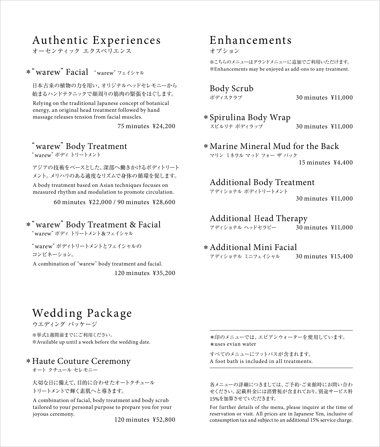## Authentic Experiences

★ーヤンティック エクスペリエンス

### \* "warew" Facial "warew" フェイシャル

日本古来の植物の力を用い、オリジナルヘッドセレモニーから 始まるハンドテクニックで顔周りの筋肉の緊張をほぐします。

Relying on the traditional Japanese concept of botanical energy, an original head treatment followed by hand massage releases tension from facial muscles.

75 minutes ¥24,200

### "warew"Body Treatment

"warew"ボディトリートメント

A body treatment based on Asian techniques focuses on measured rhythm and modulation to promote circulation. アジアの技術をベースとした、深部へ働きかけるボディトリート メント。メリハリのある適度なリズムで身体の循環を促します。

60 minutes ¥22,000 / 90 minutes ¥28,600

### "warew"Body Treatment & Facial \*

"warew"ボディトリートメント&フェイシャル

"warew"ボディトリートメントとフェイシャルの コンビネーション。

A combination of"warew"body treatment and facial. 120 minutes ¥35,200

## Enhancements

オプション

※こちらのメニューはグランドメニューに追加でご利用いただけます。 ※Enhancements may be enjoyed as add-ons to any treatment.

Body Scrub

30 minutes ¥11,000

Spirulina Body Wrap \* スピルリナ ボディラップ

30 minutes ¥11,000

Marine Mineral Mud for the Back \* マリン ミネラル マッド フォー ザ バック 15 minutes ¥4,400

#### Additional Body Treatment

アディショナル ボディトリートメント

30 minutes ¥11,000

## Additional Head Therapy

アディショナル ヘッドセラピー 30 minutes ¥11,000

#### Additional Mini Facial \*

アディショナル ミニフェイシャル 30 minutes ¥15,400

## Wedding Package

ウエディング パッケージ

※挙式1週間前までにご利用ください。 ※Available up until a week before the wedding date.

#### Haute Couture Ceremony \*

オート クチュール セレモニー

大切な日に備えて、目的に合わせたオートクチュール トリートメントで輝く素肌へと導きます。

A combination of facial, body treatment and body scrub tailored to your personal purpose to prepare you for your joyous ceremony.

120 minutes ¥52,800

\*印のメニューでは、エビアンウォーターを使用しています。 \*uses evian water

すべてのメニューにフットバスが含まれます。 A foot bath is included in all treatments.

各メニューの詳細につきましては、ご予約・ご来館時にお問い合わ せください。記載料金には消費税が含まれており、別途サービス料 15%を加算させていただきます。

For further details of the menu, please inquire at the time of reservation or visit. All prices are in Japanese Yen, inclusive of consumption tax and subject to an additional 15% service charge.